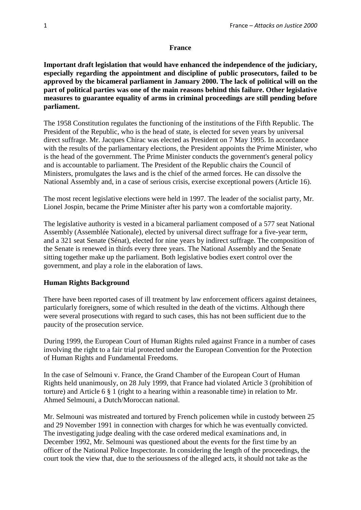### **France**

**Important draft legislation that would have enhanced the independence of the judiciary, especially regarding the appointment and discipline of public prosecutors, failed to be approved by the bicameral parliament in January 2000. The lack of political will on the part of political parties was one of the main reasons behind this failure. Other legislative measures to guarantee equality of arms in criminal proceedings are still pending before parliament.**

The 1958 Constitution regulates the functioning of the institutions of the Fifth Republic. The President of the Republic, who is the head of state, is elected for seven years by universal direct suffrage. Mr. Jacques Chirac was elected as President on 7 May 1995. In accordance with the results of the parliamentary elections, the President appoints the Prime Minister, who is the head of the government. The Prime Minister conducts the government's general policy and is accountable to parliament. The President of the Republic chairs the Council of Ministers, promulgates the laws and is the chief of the armed forces. He can dissolve the National Assembly and, in a case of serious crisis, exercise exceptional powers (Article 16).

The most recent legislative elections were held in 1997. The leader of the socialist party, Mr. Lionel Jospin, became the Prime Minister after his party won a comfortable majority.

The legislative authority is vested in a bicameral parliament composed of a 577 seat National Assembly (Assemblée Nationale), elected by universal direct suffrage for a five-year term, and a 321 seat Senate (Sénat), elected for nine years by indirect suffrage. The composition of the Senate is renewed in thirds every three years. The National Assembly and the Senate sitting together make up the parliament. Both legislative bodies exert control over the government, and play a role in the elaboration of laws.

### **Human Rights Background**

There have been reported cases of ill treatment by law enforcement officers against detainees, particularly foreigners, some of which resulted in the death of the victims. Although there were several prosecutions with regard to such cases, this has not been sufficient due to the paucity of the prosecution service.

During 1999, the European Court of Human Rights ruled against France in a number of cases involving the right to a fair trial protected under the European Convention for the Protection of Human Rights and Fundamental Freedoms.

In the case of Selmouni v. France, the Grand Chamber of the European Court of Human Rights held unanimously, on 28 July 1999, that France had violated Article 3 (prohibition of torture) and Article 6 § 1 (right to a hearing within a reasonable time) in relation to Mr. Ahmed Selmouni, a Dutch/Moroccan national.

Mr. Selmouni was mistreated and tortured by French policemen while in custody between 25 and 29 November 1991 in connection with charges for which he was eventually convicted. The investigating judge dealing with the case ordered medical examinations and, in December 1992, Mr. Selmouni was questioned about the events for the first time by an officer of the National Police Inspectorate. In considering the length of the proceedings, the court took the view that, due to the seriousness of the alleged acts, it should not take as the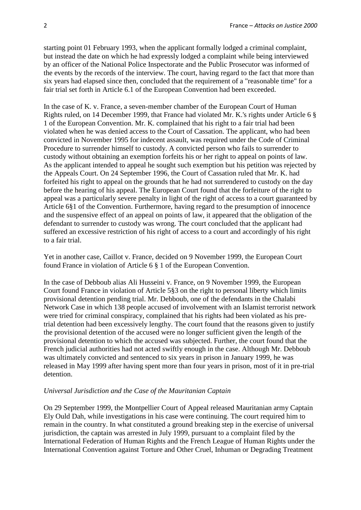starting point 01 February 1993, when the applicant formally lodged a criminal complaint, but instead the date on which he had expressly lodged a complaint while being interviewed by an officer of the National Police Inspectorate and the Public Prosecutor was informed of the events by the records of the interview. The court, having regard to the fact that more than six years had elapsed since then, concluded that the requirement of a "reasonable time" for a fair trial set forth in Article 6.1 of the European Convention had been exceeded.

In the case of K. v. France, a seven-member chamber of the European Court of Human Rights ruled, on 14 December 1999, that France had violated Mr. K.'s rights under Article 6 § 1 of the European Convention. Mr. K. complained that his right to a fair trial had been violated when he was denied access to the Court of Cassation. The applicant, who had been convicted in November 1995 for indecent assault, was required under the Code of Criminal Procedure to surrender himself to custody. A convicted person who fails to surrender to custody without obtaining an exemption forfeits his or her right to appeal on points of law. As the applicant intended to appeal he sought such exemption but his petition was rejected by the Appeals Court. On 24 September 1996, the Court of Cassation ruled that Mr. K. had forfeited his right to appeal on the grounds that he had not surrendered to custody on the day before the hearing of his appeal. The European Court found that the forfeiture of the right to appeal was a particularly severe penalty in light of the right of access to a court guaranteed by Article 6§1 of the Convention. Furthermore, having regard to the presumption of innocence and the suspensive effect of an appeal on points of law, it appeared that the obligation of the defendant to surrender to custody was wrong. The court concluded that the applicant had suffered an excessive restriction of his right of access to a court and accordingly of his right to a fair trial.

Yet in another case, Caillot v. France, decided on 9 November 1999, the European Court found France in violation of Article 6 § 1 of the European Convention.

In the case of Debboub alias Ali Husseini v. France, on 9 November 1999, the European Court found France in violation of Article 5§3 on the right to personal liberty which limits provisional detention pending trial. Mr. Debboub, one of the defendants in the Chalabi Network Case in which 138 people accused of involvement with an Islamist terrorist network were tried for criminal conspiracy, complained that his rights had been violated as his pretrial detention had been excessively lengthy. The court found that the reasons given to justify the provisional detention of the accused were no longer sufficient given the length of the provisional detention to which the accused was subjected. Further, the court found that the French judicial authorities had not acted swiftly enough in the case. Although Mr. Debboub was ultimately convicted and sentenced to six years in prison in January 1999, he was released in May 1999 after having spent more than four years in prison, most of it in pre-trial detention.

#### *Universal Jurisdiction and the Case of the Mauritanian Captain*

On 29 September 1999, the Montpellier Court of Appeal released Mauritanian army Captain Ely Ould Dah, while investigations in his case were continuing. The court required him to remain in the country. In what constituted a ground breaking step in the exercise of universal jurisdiction, the captain was arrested in July 1999, pursuant to a complaint filed by the International Federation of Human Rights and the French League of Human Rights under the International Convention against Torture and Other Cruel, Inhuman or Degrading Treatment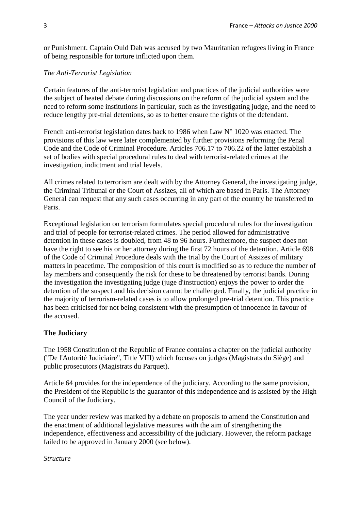or Punishment. Captain Ould Dah was accused by two Mauritanian refugees living in France of being responsible for torture inflicted upon them.

## *The Anti-Terrorist Legislation*

Certain features of the anti-terrorist legislation and practices of the judicial authorities were the subject of heated debate during discussions on the reform of the judicial system and the need to reform some institutions in particular, such as the investigating judge, and the need to reduce lengthy pre-trial detentions, so as to better ensure the rights of the defendant.

French anti-terrorist legislation dates back to 1986 when Law N° 1020 was enacted. The provisions of this law were later complemented by further provisions reforming the Penal Code and the Code of Criminal Procedure. Articles 706.17 to 706.22 of the latter establish a set of bodies with special procedural rules to deal with terrorist-related crimes at the investigation, indictment and trial levels.

All crimes related to terrorism are dealt with by the Attorney General, the investigating judge, the Criminal Tribunal or the Court of Assizes, all of which are based in Paris. The Attorney General can request that any such cases occurring in any part of the country be transferred to Paris.

Exceptional legislation on terrorism formulates special procedural rules for the investigation and trial of people for terrorist-related crimes. The period allowed for administrative detention in these cases is doubled, from 48 to 96 hours. Furthermore, the suspect does not have the right to see his or her attorney during the first 72 hours of the detention. Article 698 of the Code of Criminal Procedure deals with the trial by the Court of Assizes of military matters in peacetime. The composition of this court is modified so as to reduce the number of lay members and consequently the risk for these to be threatened by terrorist bands. During the investigation the investigating judge (juge d'instruction) enjoys the power to order the detention of the suspect and his decision cannot be challenged. Finally, the judicial practice in the majority of terrorism-related cases is to allow prolonged pre-trial detention. This practice has been criticised for not being consistent with the presumption of innocence in favour of the accused.

# **The Judiciary**

The 1958 Constitution of the Republic of France contains a chapter on the judicial authority ("De l'Autorité Judiciaire", Title VIII) which focuses on judges (Magistrats du Siège) and public prosecutors (Magistrats du Parquet).

Article 64 provides for the independence of the judiciary. According to the same provision, the President of the Republic is the guarantor of this independence and is assisted by the High Council of the Judiciary.

The year under review was marked by a debate on proposals to amend the Constitution and the enactment of additional legislative measures with the aim of strengthening the independence, effectiveness and accessibility of the judiciary. However, the reform package failed to be approved in January 2000 (see below).

### *Structure*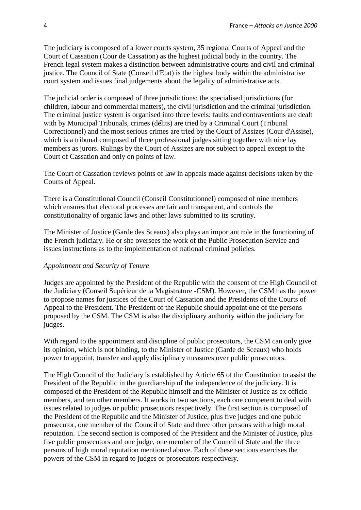The judiciary is composed of a lower courts system, 35 regional Courts of Appeal and the Court of Cassation (Cour de Cassation) as the highest judicial body in the country. The French legal system makes a distinction between administrative courts and civil and criminal justice. The Council of State (Conseil d'Etat) is the highest body within the administrative court system and issues final judgements about the legality of administrative acts.

The judicial order is composed of three jurisdictions: the specialised jurisdictions (for children, labour and commercial matters), the civil jurisdiction and the criminal jurisdiction. The criminal justice system is organised into three levels: faults and contraventions are dealt with by Municipal Tribunals, crimes (délits) are tried by a Criminal Court (Tribunal Correctionnel) and the most serious crimes are tried by the Court of Assizes (Cour d'Assise), which is a tribunal composed of three professional judges sitting together with nine lay members as jurors. Rulings by the Court of Assizes are not subject to appeal except to the Court of Cassation and only on points of law.

The Court of Cassation reviews points of law in appeals made against decisions taken by the Courts of Appeal.

There is a Constitutional Council (Conseil Constitutionnel) composed of nine members which ensures that electoral processes are fair and transparent, and controls the constitutionality of organic laws and other laws submitted to its scrutiny.

The Minister of Justice (Garde des Sceaux) also plays an important role in the functioning of the French judiciary. He or she oversees the work of the Public Prosecution Service and issues instructions as to the implementation of national criminal policies.

### *Appointment and Security of Tenure*

Judges are appointed by the President of the Republic with the consent of the High Council of the Judiciary (Conseil Supérieur de la Magistrature -CSM). However, the CSM has the power to propose names for justices of the Court of Cassation and the Presidents of the Courts of Appeal to the President. The President of the Republic should appoint one of the persons proposed by the CSM. The CSM is also the disciplinary authority within the judiciary for judges.

With regard to the appointment and discipline of public prosecutors, the CSM can only give its opinion, which is not binding, to the Minister of Justice (Garde de Sceaux) who holds power to appoint, transfer and apply disciplinary measures over public prosecutors.

The High Council of the Judiciary is established by Article 65 of the Constitution to assist the President of the Republic in the guardianship of the independence of the judiciary. It is composed of the President of the Republic himself and the Minister of Justice as ex officio members, and ten other members. It works in two sections, each one competent to deal with issues related to judges or public prosecutors respectively. The first section is composed of the President of the Republic and the Minister of Justice, plus five judges and one public prosecutor, one member of the Council of State and three other persons with a high moral reputation. The second section is composed of the President and the Minister of Justice, plus five public prosecutors and one judge, one member of the Council of State and the three persons of high moral reputation mentioned above. Each of these sections exercises the powers of the CSM in regard to judges or prosecutors respectively.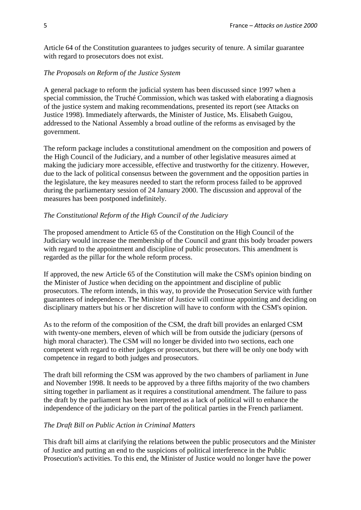Article 64 of the Constitution guarantees to judges security of tenure. A similar guarantee with regard to prosecutors does not exist.

### *The Proposals on Reform of the Justice System*

A general package to reform the judicial system has been discussed since 1997 when a special commission, the Truché Commission, which was tasked with elaborating a diagnosis of the justice system and making recommendations, presented its report (see Attacks on Justice 1998). Immediately afterwards, the Minister of Justice, Ms. Elisabeth Guigou, addressed to the National Assembly a broad outline of the reforms as envisaged by the government.

The reform package includes a constitutional amendment on the composition and powers of the High Council of the Judiciary, and a number of other legislative measures aimed at making the judiciary more accessible, effective and trustworthy for the citizenry. However, due to the lack of political consensus between the government and the opposition parties in the legislature, the key measures needed to start the reform process failed to be approved during the parliamentary session of 24 January 2000. The discussion and approval of the measures has been postponed indefinitely.

#### *The Constitutional Reform of the High Council of the Judiciary*

The proposed amendment to Article 65 of the Constitution on the High Council of the Judiciary would increase the membership of the Council and grant this body broader powers with regard to the appointment and discipline of public prosecutors. This amendment is regarded as the pillar for the whole reform process.

If approved, the new Article 65 of the Constitution will make the CSM's opinion binding on the Minister of Justice when deciding on the appointment and discipline of public prosecutors. The reform intends, in this way, to provide the Prosecution Service with further guarantees of independence. The Minister of Justice will continue appointing and deciding on disciplinary matters but his or her discretion will have to conform with the CSM's opinion.

As to the reform of the composition of the CSM, the draft bill provides an enlarged CSM with twenty-one members, eleven of which will be from outside the judiciary (persons of high moral character). The CSM will no longer be divided into two sections, each one competent with regard to either judges or prosecutors, but there will be only one body with competence in regard to both judges and prosecutors.

The draft bill reforming the CSM was approved by the two chambers of parliament in June and November 1998. It needs to be approved by a three fifths majority of the two chambers sitting together in parliament as it requires a constitutional amendment. The failure to pass the draft by the parliament has been interpreted as a lack of political will to enhance the independence of the judiciary on the part of the political parties in the French parliament.

#### *The Draft Bill on Public Action in Criminal Matters*

This draft bill aims at clarifying the relations between the public prosecutors and the Minister of Justice and putting an end to the suspicions of political interference in the Public Prosecution's activities. To this end, the Minister of Justice would no longer have the power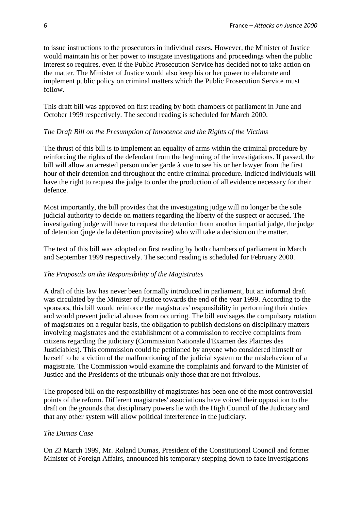to issue instructions to the prosecutors in individual cases. However, the Minister of Justice would maintain his or her power to instigate investigations and proceedings when the public interest so requires, even if the Public Prosecution Service has decided not to take action on the matter. The Minister of Justice would also keep his or her power to elaborate and implement public policy on criminal matters which the Public Prosecution Service must follow.

This draft bill was approved on first reading by both chambers of parliament in June and October 1999 respectively. The second reading is scheduled for March 2000.

#### *The Draft Bill on the Presumption of Innocence and the Rights of the Victims*

The thrust of this bill is to implement an equality of arms within the criminal procedure by reinforcing the rights of the defendant from the beginning of the investigations. If passed, the bill will allow an arrested person under garde à vue to see his or her lawyer from the first hour of their detention and throughout the entire criminal procedure. Indicted individuals will have the right to request the judge to order the production of all evidence necessary for their defence.

Most importantly, the bill provides that the investigating judge will no longer be the sole judicial authority to decide on matters regarding the liberty of the suspect or accused. The investigating judge will have to request the detention from another impartial judge, the judge of detention (juge de la détention provisoire) who will take a decision on the matter.

The text of this bill was adopted on first reading by both chambers of parliament in March and September 1999 respectively. The second reading is scheduled for February 2000.

#### *The Proposals on the Responsibility of the Magistrates*

A draft of this law has never been formally introduced in parliament, but an informal draft was circulated by the Minister of Justice towards the end of the year 1999. According to the sponsors, this bill would reinforce the magistrates' responsibility in performing their duties and would prevent judicial abuses from occurring. The bill envisages the compulsory rotation of magistrates on a regular basis, the obligation to publish decisions on disciplinary matters involving magistrates and the establishment of a commission to receive complaints from citizens regarding the judiciary (Commission Nationale d'Examen des Plaintes des Justiciables). This commission could be petitioned by anyone who considered himself or herself to be a victim of the malfunctioning of the judicial system or the misbehaviour of a magistrate. The Commission would examine the complaints and forward to the Minister of Justice and the Presidents of the tribunals only those that are not frivolous.

The proposed bill on the responsibility of magistrates has been one of the most controversial points of the reform. Different magistrates' associations have voiced their opposition to the draft on the grounds that disciplinary powers lie with the High Council of the Judiciary and that any other system will allow political interference in the judiciary.

#### *The Dumas Case*

On 23 March 1999, Mr. Roland Dumas, President of the Constitutional Council and former Minister of Foreign Affairs, announced his temporary stepping down to face investigations